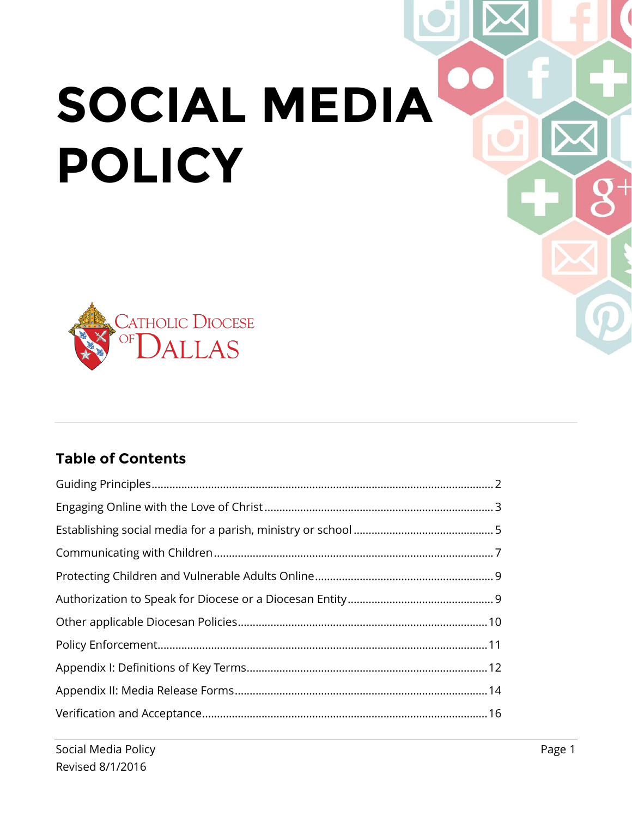# **SOCIAL MEDIA POLICY**



#### **Table of Contents**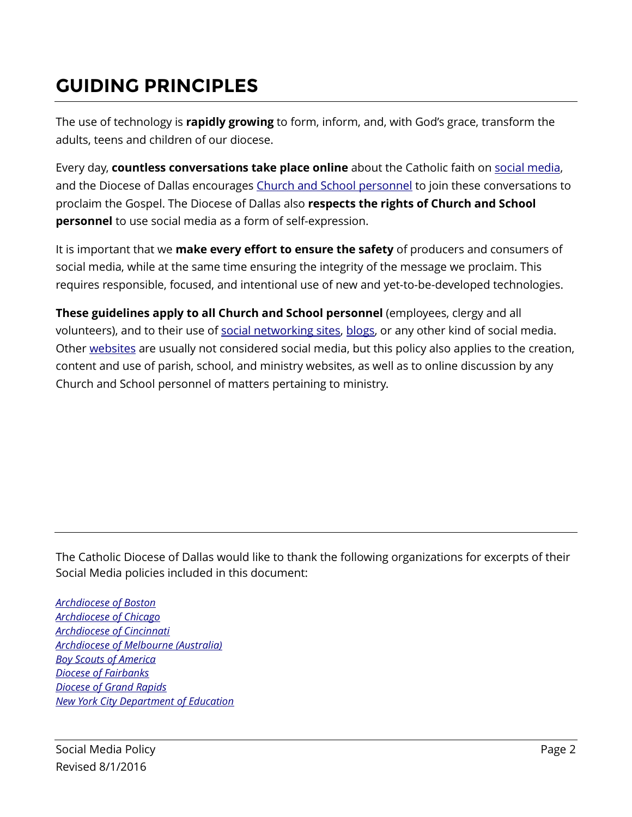### <span id="page-1-0"></span>**GUIDING PRINCIPLES**

The use of technology is **rapidly growing** to form, inform, and, with God's grace, transform the adults, teens and children of our diocese.

Every day, **countless conversations take place online** about the Catholic faith on [social media,](#page-11-1) and the Diocese of Dallas encourages Church [and School](#page-12-0) personnel to join these conversations to proclaim the Gospel. The Diocese of Dallas also **respects the rights of Church and School personnel** to use social media as a form of self-expression.

It is important that we **make every effort to ensure the safety** of producers and consumers of social media, while at the same time ensuring the integrity of the message we proclaim. This requires responsible, focused, and intentional use of new and yet-to-be-developed technologies.

**These guidelines apply to all Church and School personnel** (employees, clergy and all volunteers), and to their use of [social networking sites,](#page-11-2) [blogs,](#page-11-3) or any other kind of social media. Other [websites](#page-11-4) are usually not considered social media, but this policy also applies to the creation, content and use of parish, school, and ministry websites, as well as to online discussion by any Church and School personnel of matters pertaining to ministry.

The Catholic Diocese of Dallas would like to thank the following organizations for excerpts of their Social Media policies included in this document:

*[Archdiocese of Boston](http://www.rcabrisk.org/images/pdf/Parishes/RCAB%20-%20Social%20Media%20Guidelines%205.9.12.pdf) [Archdiocese of Chicago](https://www.archchicago.org/departments/LegalServices/guidelines/GuidelinesforElectronicCommunicationByParishesAndSchools_en.htm) [Archdiocese of Cincinnati](http://www.catholiccincinnati.org/wp-content/uploads/2010/11/social_media_policy.pdf) Archdiocese of Melbourne (Australia) [Boy Scouts of America](http://www.scouting.org/scoutsource/Marketing/Resources/SocialMedia.aspx) [Diocese of Fairbanks](http://dioceseoffairbanks.org/joomla/index.php/social-networking-and-technology) [Diocese of Grand Rapids](http://www.dioceseofgrandrapids.org/documents/dogr_social_media_policy.pdf) [New York City Department of Education](http://schools.nyc.gov/NR/rdonlyres/BCF47CED-604B-4FDD-B752-DC2D81504478/0/SMG_FINAL_20130415.pdf)*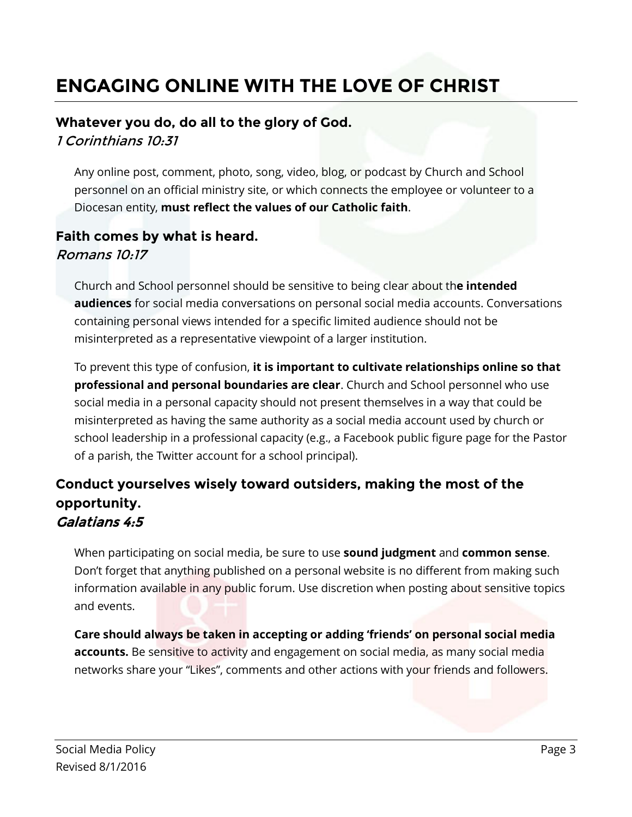### <span id="page-2-0"></span>**ENGAGING ONLINE WITH THE LOVE OF CHRIST**

#### **Whatever you do, do all to the glory of God.**

1 Corinthians 10:31

Any online post, comment, photo, song, video, blog, or podcast by Church and School personnel on an official ministry site, or which connects the employee or volunteer to a Diocesan entity, **must reflect the values of our Catholic faith**.

#### **Faith comes by what is heard.** Romans 10:17

Church and School personnel should be sensitive to being clear about th**e intended audiences** for social media conversations on personal social media accounts. Conversations containing personal views intended for a specific limited audience should not be misinterpreted as a representative viewpoint of a larger institution.

To prevent this type of confusion, **it is important to cultivate relationships online so that professional and personal boundaries are clear**. Church and School personnel who use social media in a personal capacity should not present themselves in a way that could be misinterpreted as having the same authority as a social media account used by church or school leadership in a professional capacity (e.g., a Facebook public figure page for the Pastor of a parish, the Twitter account for a school principal).

#### **Conduct yourselves wisely toward outsiders, making the most of the opportunity.** Galatians 4:5

When participating on social media, be sure to use **sound judgment** and **common sense**. Don't forget that anything published on a personal website is no different from making such information available in any public forum. Use discretion when posting about sensitive topics and events.

**Care should always be taken in accepting or adding 'friends' on personal social media accounts.** Be sensitive to activity and engagement on social media, as many social media networks share your "Likes", comments and other actions with your friends and followers.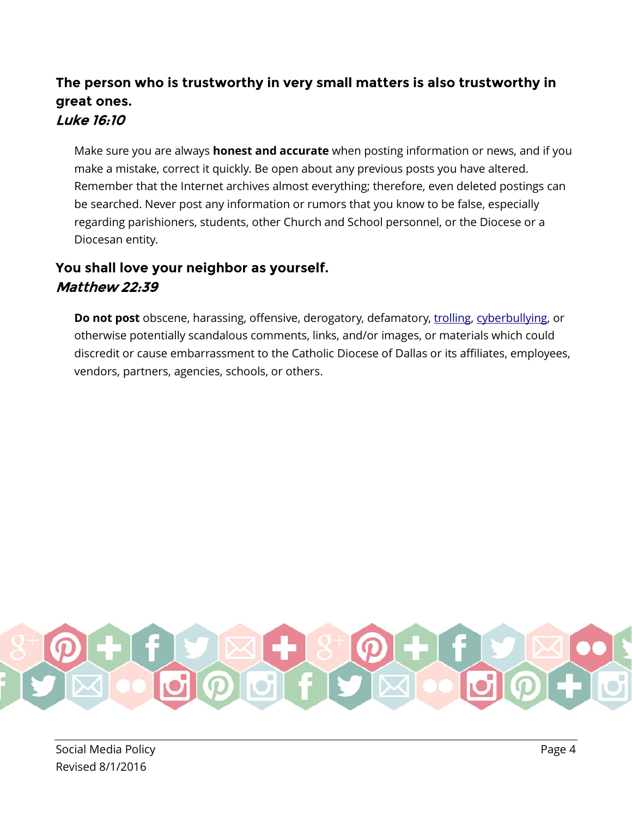#### **The person who is trustworthy in very small matters is also trustworthy in great ones.** Luke 16:10

Make sure you are always **honest and accurate** when posting information or news, and if you make a mistake, correct it quickly. Be open about any previous posts you have altered. Remember that the Internet archives almost everything; therefore, even deleted postings can be searched. Never post any information or rumors that you know to be false, especially regarding parishioners, students, other Church and School personnel, or the Diocese or a Diocesan entity.

#### **You shall love your neighbor as yourself.** Matthew 22:39

**Do not post** obscene, harassing, offensive, derogatory, defamatory, [trolling,](#page-11-5) [cyberbullying,](#page-11-6) or otherwise potentially scandalous comments, links, and/or images, or materials which could discredit or cause embarrassment to the Catholic Diocese of Dallas or its affiliates, employees, vendors, partners, agencies, schools, or others.

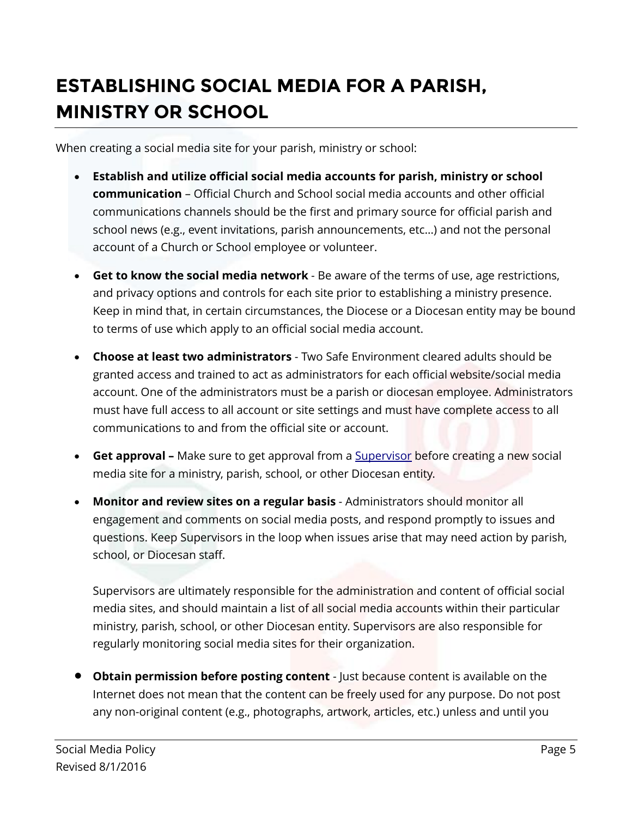### <span id="page-4-0"></span>**ESTABLISHING SOCIAL MEDIA FOR A PARISH, MINISTRY OR SCHOOL**

When creating a social media site for your parish, ministry or school:

- **Establish and utilize official social media accounts for parish, ministry or school communication** – Official Church and School social media accounts and other official communications channels should be the first and primary source for official parish and school news (e.g., event invitations, parish announcements, etc…) and not the personal account of a Church or School employee or volunteer.
- **Get to know the social media network**  Be aware of the terms of use, age restrictions, and privacy options and controls for each site prior to establishing a ministry presence. Keep in mind that, in certain circumstances, the Diocese or a Diocesan entity may be bound to terms of use which apply to an official social media account.
- **Choose at least two administrators**  Two Safe Environment cleared adults should be granted access and trained to act as administrators for each official website/social media account. One of the administrators must be a parish or diocesan employee. Administrators must have full access to all account or site settings and must have complete access to all communications to and from the official site or account.
- **Get approval** Make sure to get approval from a **[Supervisor](#page-12-1)** before creating a new social media site for a ministry, parish, school, or other Diocesan entity.
- **Monitor and review sites on a regular basis** Administrators should monitor all engagement and comments on social media posts, and respond promptly to issues and questions. Keep Supervisors in the loop when issues arise that may need action by parish, school, or Diocesan staff.

Supervisors are ultimately responsible for the administration and content of official social media sites, and should maintain a list of all social media accounts within their particular ministry, parish, school, or other Diocesan entity. Supervisors are also responsible for regularly monitoring social media sites for their organization.

• **Obtain permission before posting content** - Just because content is available on the Internet does not mean that the content can be freely used for any purpose. Do not post any non-original content (e.g., photographs, artwork, articles, etc.) unless and until you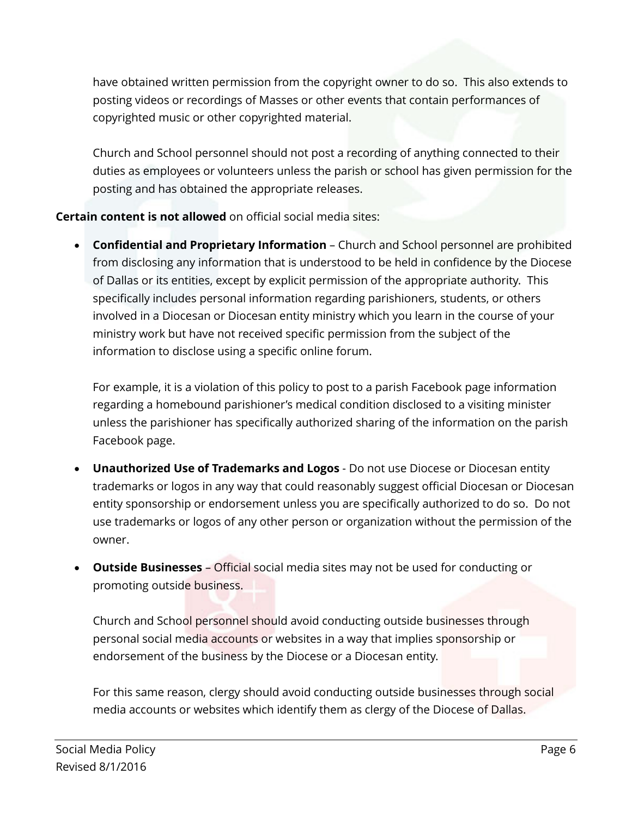have obtained written permission from the copyright owner to do so. This also extends to posting videos or recordings of Masses or other events that contain performances of copyrighted music or other copyrighted material.

Church and School personnel should not post a recording of anything connected to their duties as employees or volunteers unless the parish or school has given permission for the posting and has obtained the appropriate releases.

**Certain content is not allowed** on official social media sites:

• **Confidential and Proprietary Information** – Church and School personnel are prohibited from disclosing any information that is understood to be held in confidence by the Diocese of Dallas or its entities, except by explicit permission of the appropriate authority. This specifically includes personal information regarding parishioners, students, or others involved in a Diocesan or Diocesan entity ministry which you learn in the course of your ministry work but have not received specific permission from the subject of the information to disclose using a specific online forum.

For example, it is a violation of this policy to post to a parish Facebook page information regarding a homebound parishioner's medical condition disclosed to a visiting minister unless the parishioner has specifically authorized sharing of the information on the parish Facebook page.

- **Unauthorized Use of Trademarks and Logos**  Do not use Diocese or Diocesan entity trademarks or logos in any way that could reasonably suggest official Diocesan or Diocesan entity sponsorship or endorsement unless you are specifically authorized to do so. Do not use trademarks or logos of any other person or organization without the permission of the owner.
- **Outside Businesses** Official social media sites may not be used for conducting or promoting outside business.

Church and School personnel should avoid conducting outside businesses through personal social media accounts or websites in a way that implies sponsorship or endorsement of the business by the Diocese or a Diocesan entity.

For this same reason, clergy should avoid conducting outside businesses through social media accounts or websites which identify them as clergy of the Diocese of Dallas.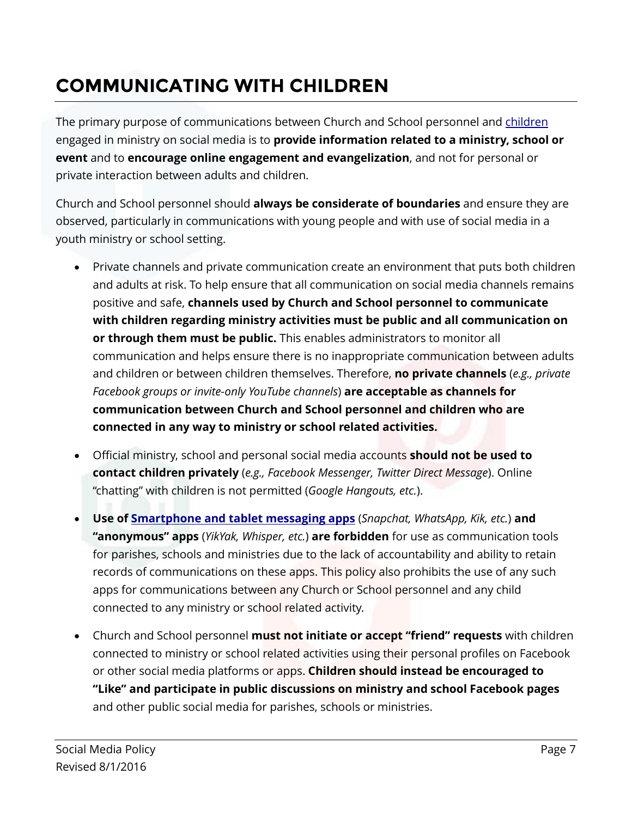### <span id="page-6-0"></span>**COMMUNICATING WITH CHILDREN**

The primary purpose of communications between Church and School personnel and [children](#page-12-2) engaged in ministry on social media is to **provide information related to a ministry, school or event** and to **encourage online engagement and evangelization**, and not for personal or private interaction between adults and children.

Church and School personnel should **always be considerate of boundaries** and ensure they are observed, particularly in communications with young people and with use of social media in a youth ministry or school setting.

- Private channels and private communication create an environment that puts both children and adults at risk. To help ensure that all communication on social media channels remains positive and safe, **channels used by Church and School personnel to communicate with children regarding ministry activities must be public and all communication on or through them must be public.** This enables administrators to monitor all communication and helps ensure there is no inappropriate communication between adults and children or between children themselves. Therefore, **no private channels** (*e.g., private Facebook groups or invite-only YouTube channels*) **are acceptable as channels for communication between Church and School personnel and children who are connected in any way to ministry or school related activities.**
- Official ministry, school and personal social media accounts **should not be used to contact children privately** (*e.g., Facebook Messenger, Twitter Direct Message*). Online "chatting" with children is not permitted (*Google Hangouts, etc.*).
- **Use of [Smartphone and tablet messaging apps](#page-11-7)** (*Snapchat, WhatsApp, Kik, etc.*) **and "anonymous" apps** (*YikYak, Whisper, etc.*) **are forbidden** for use as communication tools for parishes, schools and ministries due to the lack of accountability and ability to retain records of communications on these apps. This policy also prohibits the use of any such apps for communications between any Church or School personnel and any child connected to any ministry or school related activity.
- Church and School personnel **must not initiate or accept "friend" requests** with children connected to ministry or school related activities using their personal profiles on Facebook or other social media platforms or apps. **Children should instead be encouraged to "Like" and participate in public discussions on ministry and school Facebook pages** and other public social media for parishes, schools or ministries.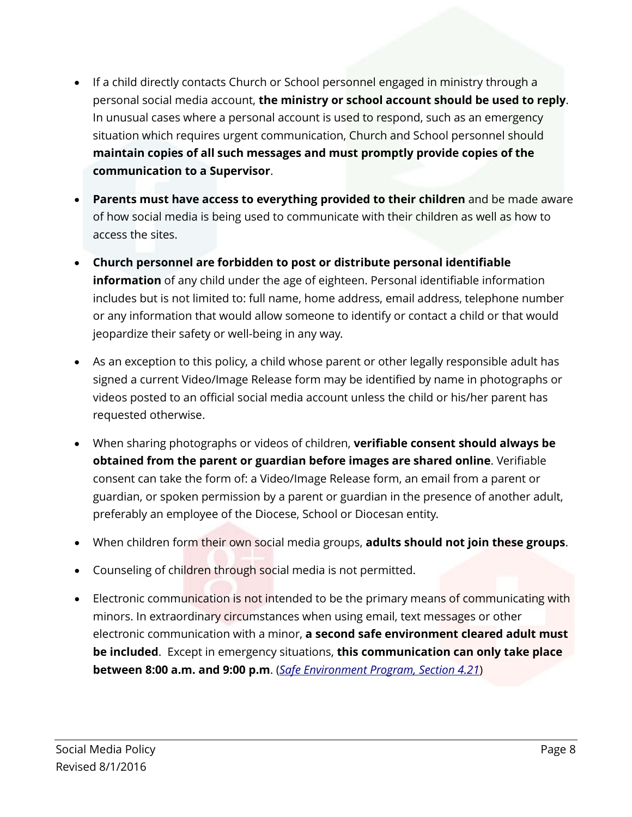- If a child directly contacts Church or School personnel engaged in ministry through a personal social media account, **the ministry or school account should be used to reply**. In unusual cases where a personal account is used to respond, such as an emergency situation which requires urgent communication, Church and School personnel should **maintain copies of all such messages and must promptly provide copies of the communication to a Supervisor**.
- **Parents must have access to everything provided to their children** and be made aware of how social media is being used to communicate with their children as well as how to access the sites.
- **Church personnel are forbidden to post or distribute personal identifiable information** of any child under the age of eighteen. Personal identifiable information includes but is not limited to: full name, home address, email address, telephone number or any information that would allow someone to identify or contact a child or that would jeopardize their safety or well-being in any way.
- As an exception to this policy, a child whose parent or other legally responsible adult has signed a current Video/Image Release form may be identified by name in photographs or videos posted to an official social media account unless the child or his/her parent has requested otherwise.
- When sharing photographs or videos of children, **verifiable consent should always be obtained from the parent or guardian before images are shared online**. Verifiable consent can take the form of: a Video/Image Release form, an email from a parent or guardian, or spoken permission by a parent or guardian in the presence of another adult, preferably an employee of the Diocese, School or Diocesan entity.
- When children form their own social media groups, **adults should not join these groups**.
- Counseling of children through social media is not permitted.
- Electronic communication is not intended to be the primary means of communicating with minors. In extraordinary circumstances when using email, text messages or other electronic communication with a minor, **a second safe environment cleared adult must be included**. Except in emergency situations, **this communication can only take place between 8:00 a.m. and 9:00 p.m**. (*[Safe Environment Program, Section 4.21](https://www.cathdal.org/Safe_Environment_Program.pdf)*)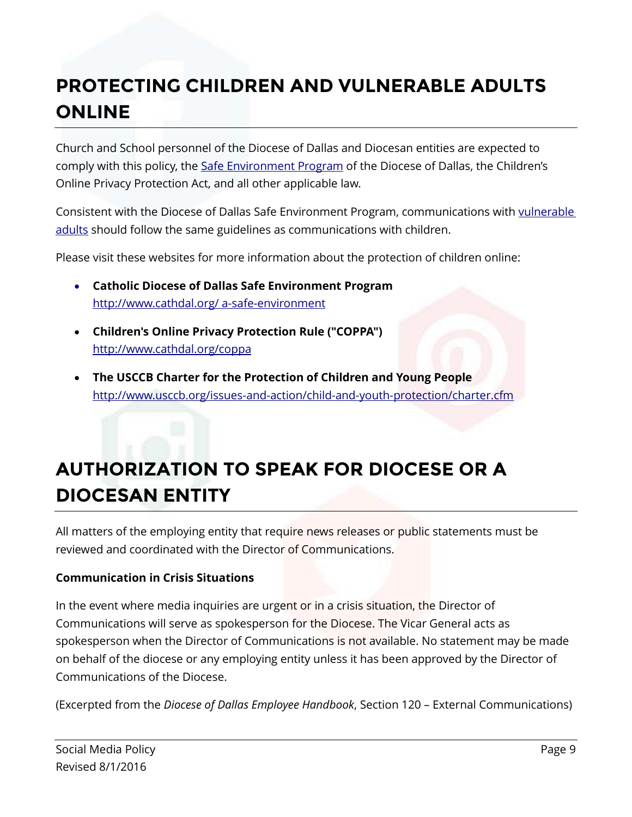### <span id="page-8-0"></span>**PROTECTING CHILDREN AND VULNERABLE ADULTS ONLINE**

Church and School personnel of the Diocese of Dallas and Diocesan entities are expected to comply with this policy, the [Safe Environment Program](https://www.cathdal.org/Safe_Environment_Program.pdf) of the Diocese of Dallas, the Children's Online Privacy Protection Act, and all other applicable law.

Consistent with the Diocese of Dallas Safe Environment Program, communications with vulnerable [adults](#page-12-3) should follow the same guidelines as communications with children.

Please visit these websites for more information about the protection of children online:

- **Catholic Diocese of Dallas Safe Environment Program** [http://www.cathdal.org/ a-safe-environment](http://www.cathdal.org/pages/a-safe-environment)
- **Children's Online Privacy Protection Rule ("COPPA")** <http://www.cathdal.org/coppa>
- **The USCCB Charter for the Protection of Children and Young People** <http://www.usccb.org/issues-and-action/child-and-youth-protection/charter.cfm>

### <span id="page-8-1"></span>**AUTHORIZATION TO SPEAK FOR DIOCESE OR A DIOCESAN ENTITY**

All matters of the employing entity that require news releases or public statements must be reviewed and coordinated with the Director of Communications.

#### **Communication in Crisis Situations**

In the event where media inquiries are urgent or in a crisis situation, the Director of Communications will serve as spokesperson for the Diocese. The Vicar General acts as spokesperson when the Director of Communications is not available. No statement may be made on behalf of the diocese or any employing entity unless it has been approved by the Director of Communications of the Diocese.

(Excerpted from the *Diocese of Dallas Employee Handbook*, Section 120 – External Communications)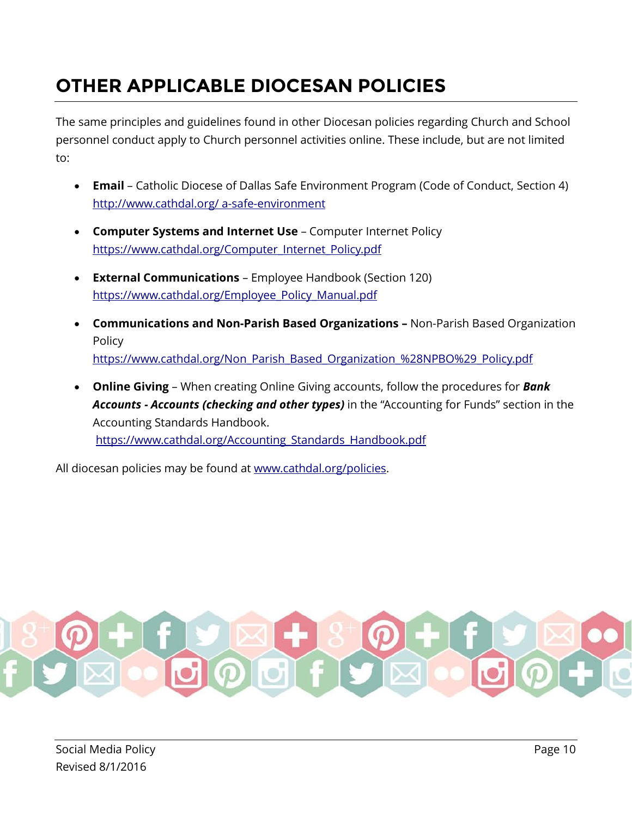### <span id="page-9-0"></span>**OTHER APPLICABLE DIOCESAN POLICIES**

The same principles and guidelines found in other Diocesan policies regarding Church and School personnel conduct apply to Church personnel activities online. These include, but are not limited to:

- **Email** Catholic Diocese of Dallas Safe Environment Program (Code of Conduct, Section 4) [http://www.cathdal.org/ a-safe-environment](http://www.cathdal.org/pages/a-safe-environment)
- **Computer Systems and Internet Use** Computer Internet Policy [https://www.cathdal.org/Computer\\_Internet\\_Policy.pdf](https://www.cathdal.org/Computer_Internet_Policy.pdf)
- **External Communications** Employee Handbook (Section 120) [https://www.cathdal.org/Employee\\_Policy\\_Manual.pdf](https://www.cathdal.org/Employee_Policy_Manual.pdf)
- **Communications and Non-Parish Based Organizations –** Non-Parish Based Organization Policy [https://www.cathdal.org/Non\\_Parish\\_Based\\_Organization\\_%28NPBO%29\\_Policy.pdf](https://www.cathdal.org/Non_Parish_Based_Organization_%28NPBO%29_Policy.pdf)
- **Online Giving**  When creating Online Giving accounts, follow the procedures for *Bank Accounts - Accounts (checking and other types)* in the "Accounting for Funds" section in the Accounting Standards Handbook. [https://www.cathdal.org/Accounting\\_Standards\\_Handbook.pdf](https://www.cathdal.org/Accounting_Standards_Handbook.pdf)

All diocesan policies may be found at [www.cathdal.org/policies.](http://www.cathdal.org/policies)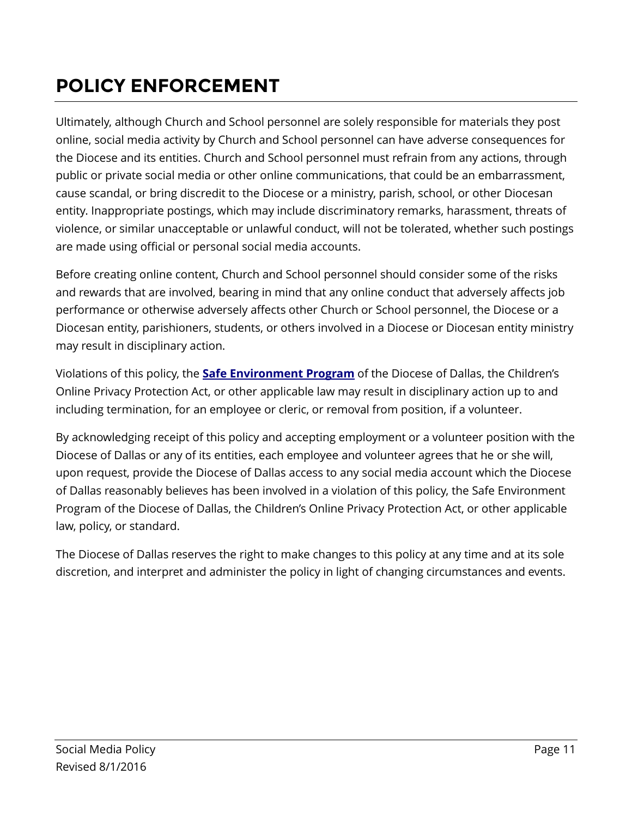### <span id="page-10-0"></span>**POLICY ENFORCEMENT**

Ultimately, although Church and School personnel are solely responsible for materials they post online, social media activity by Church and School personnel can have adverse consequences for the Diocese and its entities. Church and School personnel must refrain from any actions, through public or private social media or other online communications, that could be an embarrassment, cause scandal, or bring discredit to the Diocese or a ministry, parish, school, or other Diocesan entity. Inappropriate postings, which may include discriminatory remarks, harassment, threats of violence, or similar unacceptable or unlawful conduct, will not be tolerated, whether such postings are made using official or personal social media accounts.

Before creating online content, Church and School personnel should consider some of the risks and rewards that are involved, bearing in mind that any online conduct that adversely affects job performance or otherwise adversely affects other Church or School personnel, the Diocese or a Diocesan entity, parishioners, students, or others involved in a Diocese or Diocesan entity ministry may result in disciplinary action.

Violations of this policy, the **[Safe Environment Program](https://www.cathdal.org/Safe_Environment_Program.pdf)** of the Diocese of Dallas, the Children's Online Privacy Protection Act, or other applicable law may result in disciplinary action up to and including termination, for an employee or cleric, or removal from position, if a volunteer.

By acknowledging receipt of this policy and accepting employment or a volunteer position with the Diocese of Dallas or any of its entities, each employee and volunteer agrees that he or she will, upon request, provide the Diocese of Dallas access to any social media account which the Diocese of Dallas reasonably believes has been involved in a violation of this policy, the Safe Environment Program of the Diocese of Dallas, the Children's Online Privacy Protection Act, or other applicable law, policy, or standard.

The Diocese of Dallas reserves the right to make changes to this policy at any time and at its sole discretion, and interpret and administer the policy in light of changing circumstances and events.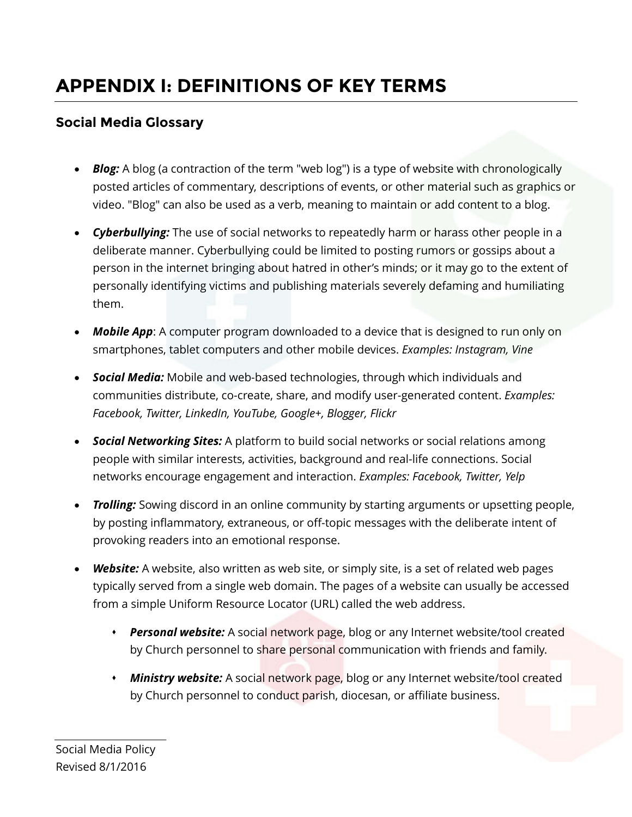### <span id="page-11-0"></span>**APPENDIX I: DEFINITIONS OF KEY TERMS**

#### **Social Media Glossary**

- <span id="page-11-3"></span>• **Blog:** A blog (a contraction of the term "web log") is a type of website with chronologically posted articles of commentary, descriptions of events, or other material such as graphics or video. "Blog" can also be used as a verb, meaning to maintain or add content to a blog.
- <span id="page-11-6"></span>• *Cyberbullying:* The use of social networks to repeatedly harm or harass other people in a deliberate manner. Cyberbullying could be limited to posting rumors or gossips about a person in the internet bringing about hatred in other's minds; or it may go to the extent of personally identifying victims and publishing materials severely defaming and humiliating them.
- <span id="page-11-7"></span>• *Mobile App*: A computer program downloaded to a device that is designed to run only on smartphones, tablet computers and other mobile devices. *Examples: Instagram, Vine*
- <span id="page-11-1"></span>• *Social Media:* Mobile and web-based technologies, through which individuals and communities distribute, co-create, share, and modify user-generated content. *Examples: Facebook, Twitter, LinkedIn, YouTube, Google+, Blogger, Flickr*
- <span id="page-11-2"></span>• *Social Networking Sites:* A platform to build social networks or social relations among people with similar interests, activities, background and real-life connections. Social networks encourage engagement and interaction. *Examples: Facebook, Twitter, Yelp*
- <span id="page-11-5"></span>• *Trolling:* Sowing discord in an online community by starting arguments or upsetting people, by posting inflammatory, extraneous, or off-topic messages with the deliberate intent of provoking readers into an emotional response.
- <span id="page-11-4"></span>• *Website:* A website, also written as web site, or simply site, is a set of related web pages typically served from a single web domain. The pages of a website can usually be accessed from a simple Uniform Resource Locator (URL) called the web address.
	- *Personal website:* A social network page, blog or any Internet website/tool created by Church personnel to share personal communication with friends and family.
	- *Ministry website:* A social network page, blog or any Internet website/tool created by Church personnel to conduct parish, diocesan, or affiliate business.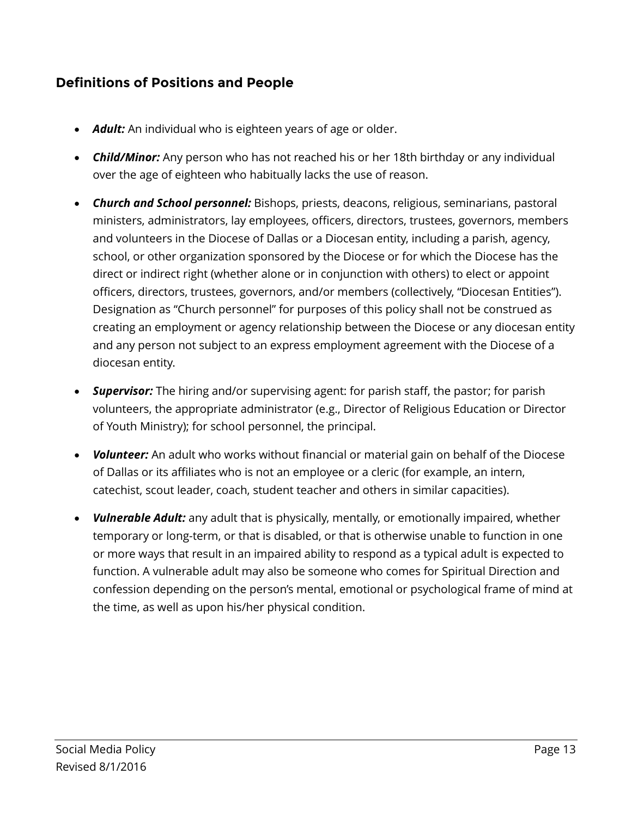#### **Definitions of Positions and People**

- *Adult:* An individual who is eighteen years of age or older.
- <span id="page-12-2"></span>• *Child/Minor:* Any person who has not reached his or her 18th birthday or any individual over the age of eighteen who habitually lacks the use of reason.
- <span id="page-12-1"></span><span id="page-12-0"></span>• *Church and School personnel:* Bishops, priests, deacons, religious, seminarians, pastoral ministers, administrators, lay employees, officers, directors, trustees, governors, members and volunteers in the Diocese of Dallas or a Diocesan entity, including a parish, agency, school, or other organization sponsored by the Diocese or for which the Diocese has the direct or indirect right (whether alone or in conjunction with others) to elect or appoint officers, directors, trustees, governors, and/or members (collectively, "Diocesan Entities"). Designation as "Church personnel" for purposes of this policy shall not be construed as creating an employment or agency relationship between the Diocese or any diocesan entity and any person not subject to an express employment agreement with the Diocese of a diocesan entity.
- *Supervisor:* The hiring and/or supervising agent: for parish staff, the pastor; for parish volunteers, the appropriate administrator (e.g., Director of Religious Education or Director of Youth Ministry); for school personnel, the principal.
- *Volunteer:* An adult who works without financial or material gain on behalf of the Diocese of Dallas or its affiliates who is not an employee or a cleric (for example, an intern, catechist, scout leader, coach, student teacher and others in similar capacities).
- <span id="page-12-3"></span>• *Vulnerable Adult:* any adult that is physically, mentally, or emotionally impaired, whether temporary or long-term, or that is disabled, or that is otherwise unable to function in one or more ways that result in an impaired ability to respond as a typical adult is expected to function. A vulnerable adult may also be someone who comes for Spiritual Direction and confession depending on the person's mental, emotional or psychological frame of mind at the time, as well as upon his/her physical condition.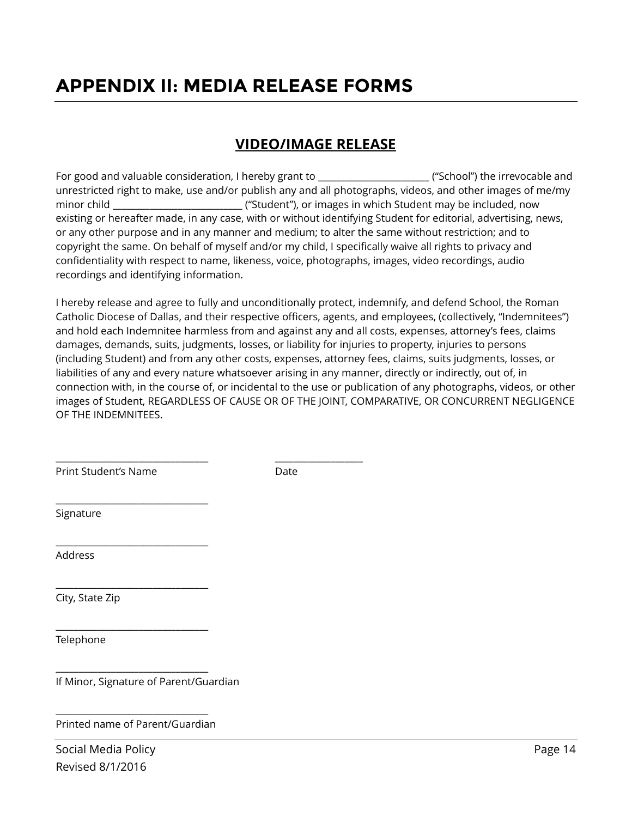### <span id="page-13-0"></span>**APPENDIX II: MEDIA RELEASE FORMS**

#### **VIDEO/IMAGE RELEASE**

For good and valuable consideration, I hereby grant to \_\_\_\_\_\_\_\_\_\_\_\_\_\_\_\_\_\_\_\_\_\_\_\_\_\_\_("School") the irrevocable and unrestricted right to make, use and/or publish any and all photographs, videos, and other images of me/my minor child \_\_\_\_\_\_\_\_\_\_\_\_\_\_\_\_\_\_\_\_\_\_\_\_\_\_\_\_ ("Student"), or images in which Student may be included, now existing or hereafter made, in any case, with or without identifying Student for editorial, advertising, news, or any other purpose and in any manner and medium; to alter the same without restriction; and to copyright the same. On behalf of myself and/or my child, I specifically waive all rights to privacy and confidentiality with respect to name, likeness, voice, photographs, images, video recordings, audio recordings and identifying information.

I hereby release and agree to fully and unconditionally protect, indemnify, and defend School, the Roman Catholic Diocese of Dallas, and their respective officers, agents, and employees, (collectively, "Indemnitees") and hold each Indemnitee harmless from and against any and all costs, expenses, attorney's fees, claims damages, demands, suits, judgments, losses, or liability for injuries to property, injuries to persons (including Student) and from any other costs, expenses, attorney fees, claims, suits judgments, losses, or liabilities of any and every nature whatsoever arising in any manner, directly or indirectly, out of, in connection with, in the course of, or incidental to the use or publication of any photographs, videos, or other images of Student, REGARDLESS OF CAUSE OR OF THE JOINT, COMPARATIVE, OR CONCURRENT NEGLIGENCE OF THE INDEMNITEES.

Print Student's Name Date

\_\_\_\_\_\_\_\_\_\_\_\_\_\_\_\_\_\_\_\_\_\_\_\_\_\_\_\_\_\_\_\_\_

\_\_\_\_\_\_\_\_\_\_\_\_\_\_\_\_\_\_\_\_\_\_\_\_\_\_\_\_\_\_\_\_\_

\_\_\_\_\_\_\_\_\_\_\_\_\_\_\_\_\_\_\_\_\_\_\_\_\_\_\_\_\_\_\_\_\_

\_\_\_\_\_\_\_\_\_\_\_\_\_\_\_\_\_\_\_\_\_\_\_\_\_\_\_\_\_\_\_\_\_

\_\_\_\_\_\_\_\_\_\_\_\_\_\_\_\_\_\_\_\_\_\_\_\_\_\_\_\_\_\_\_\_\_

\_\_\_\_\_\_\_\_\_\_\_\_\_\_\_\_\_\_\_\_\_\_\_\_\_\_\_\_\_\_\_\_\_ \_\_\_\_\_\_\_\_\_\_\_\_\_\_\_\_\_\_\_

Signature

Address

City, State Zip

Telephone

If Minor, Signature of Parent/Guardian

\_\_\_\_\_\_\_\_\_\_\_\_\_\_\_\_\_\_\_\_\_\_\_\_\_\_\_\_\_\_\_\_\_ Printed name of Parent/Guardian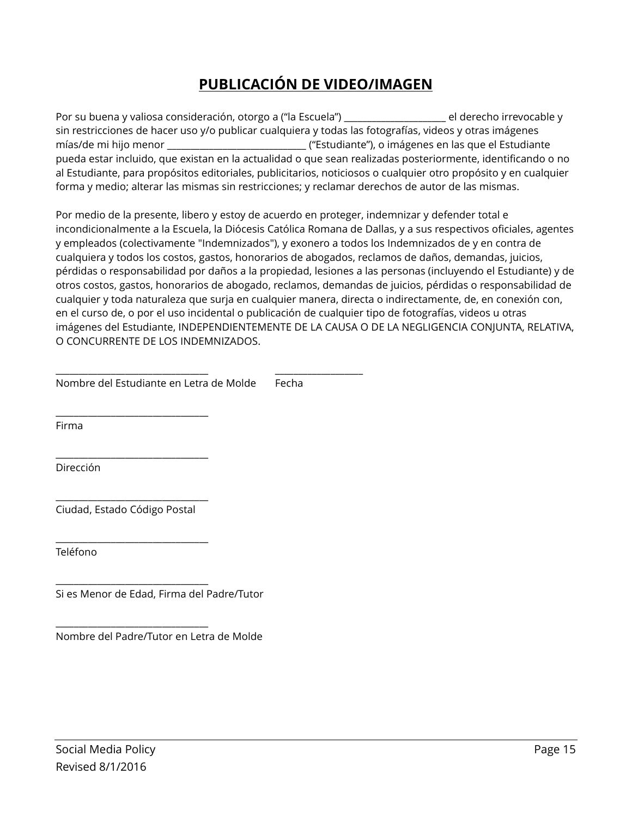#### **PUBLICACIÓN DE VIDEO/IMAGEN**

Por su buena y valiosa consideración, otorgo a ("la Escuela") \_\_\_\_\_\_\_\_\_\_\_\_\_\_\_\_\_\_\_\_\_\_ el derecho irrevocable y sin restricciones de hacer uso y/o publicar cualquiera y todas las fotografías, videos y otras imágenes mías/de mi hijo menor \_\_\_\_\_\_\_\_\_\_\_\_\_\_\_\_\_\_\_\_\_\_\_\_\_\_\_\_\_\_ ("Estudiante"), o imágenes en las que el Estudiante pueda estar incluido, que existan en la actualidad o que sean realizadas posteriormente, identificando o no al Estudiante, para propósitos editoriales, publicitarios, noticiosos o cualquier otro propósito y en cualquier forma y medio; alterar las mismas sin restricciones; y reclamar derechos de autor de las mismas.

Por medio de la presente, libero y estoy de acuerdo en proteger, indemnizar y defender total e incondicionalmente a la Escuela, la Diócesis Católica Romana de Dallas, y a sus respectivos oficiales, agentes y empleados (colectivamente "Indemnizados"), y exonero a todos los Indemnizados de y en contra de cualquiera y todos los costos, gastos, honorarios de abogados, reclamos de daños, demandas, juicios, pérdidas o responsabilidad por daños a la propiedad, lesiones a las personas (incluyendo el Estudiante) y de otros costos, gastos, honorarios de abogado, reclamos, demandas de juicios, pérdidas o responsabilidad de cualquier y toda naturaleza que surja en cualquier manera, directa o indirectamente, de, en conexión con, en el curso de, o por el uso incidental o publicación de cualquier tipo de fotografías, videos u otras imágenes del Estudiante, INDEPENDIENTEMENTE DE LA CAUSA O DE LA NEGLIGENCIA CONJUNTA, RELATIVA, O CONCURRENTE DE LOS INDEMNIZADOS.

|  | Nombre del Estudiante en Letra de Molde | Fecha |
|--|-----------------------------------------|-------|
|--|-----------------------------------------|-------|

\_\_\_\_\_\_\_\_\_\_\_\_\_\_\_\_\_\_\_\_\_\_\_\_\_\_\_\_\_\_\_\_\_ \_\_\_\_\_\_\_\_\_\_\_\_\_\_\_\_\_\_\_

Firma

Dirección

\_\_\_\_\_\_\_\_\_\_\_\_\_\_\_\_\_\_\_\_\_\_\_\_\_\_\_\_\_\_\_\_\_ Ciudad, Estado Código Postal

\_\_\_\_\_\_\_\_\_\_\_\_\_\_\_\_\_\_\_\_\_\_\_\_\_\_\_\_\_\_\_\_\_

\_\_\_\_\_\_\_\_\_\_\_\_\_\_\_\_\_\_\_\_\_\_\_\_\_\_\_\_\_\_\_\_\_

\_\_\_\_\_\_\_\_\_\_\_\_\_\_\_\_\_\_\_\_\_\_\_\_\_\_\_\_\_\_\_\_\_

\_\_\_\_\_\_\_\_\_\_\_\_\_\_\_\_\_\_\_\_\_\_\_\_\_\_\_\_\_\_\_\_\_

\_\_\_\_\_\_\_\_\_\_\_\_\_\_\_\_\_\_\_\_\_\_\_\_\_\_\_\_\_\_\_\_\_

Teléfono

Si es Menor de Edad, Firma del Padre/Tutor

Nombre del Padre/Tutor en Letra de Molde